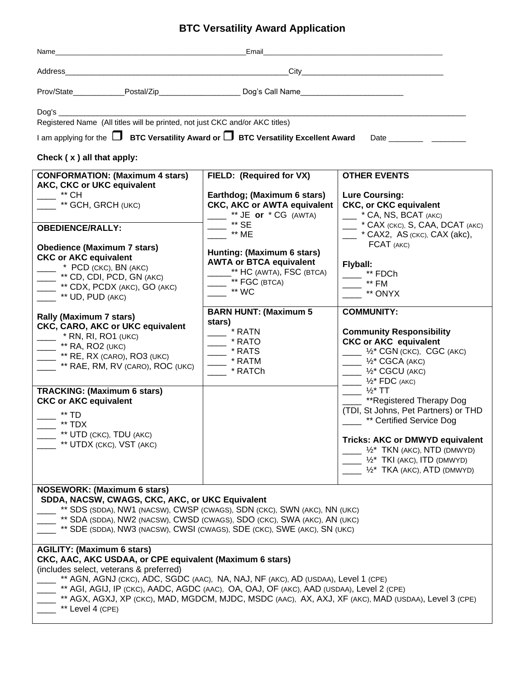## **BTC Versatility Award Application**

| Name                                                                                                                                                                                                                                                                                                                                                                                                                                                | Email                                                                                                                     |                                                                                                                                                                                                                                                                                     |
|-----------------------------------------------------------------------------------------------------------------------------------------------------------------------------------------------------------------------------------------------------------------------------------------------------------------------------------------------------------------------------------------------------------------------------------------------------|---------------------------------------------------------------------------------------------------------------------------|-------------------------------------------------------------------------------------------------------------------------------------------------------------------------------------------------------------------------------------------------------------------------------------|
|                                                                                                                                                                                                                                                                                                                                                                                                                                                     |                                                                                                                           |                                                                                                                                                                                                                                                                                     |
| Prov/State_____________Postal/Zip_________________________Dog's Call Name__________________________                                                                                                                                                                                                                                                                                                                                                 |                                                                                                                           |                                                                                                                                                                                                                                                                                     |
| Registered Name (All titles will be printed, not just CKC and/or AKC titles)<br>Check $(x)$ all that apply:                                                                                                                                                                                                                                                                                                                                         |                                                                                                                           |                                                                                                                                                                                                                                                                                     |
| <b>CONFORMATION: (Maximum 4 stars)</b><br><b>AKC, CKC or UKC equivalent</b><br>** CH<br>** GCH, GRCH (UKC)                                                                                                                                                                                                                                                                                                                                          | FIELD: (Required for VX)<br>Earthdog; (Maximum 6 stars)<br><b>CKC, AKC or AWTA equivalent</b><br>** $JE$ or $* CG$ (AWTA) | <b>OTHER EVENTS</b><br><b>Lure Coursing:</b><br><b>CKC, or CKC equivalent</b><br>- * CA, NS, BCAT (AKC)                                                                                                                                                                             |
| <b>OBEDIENCE/RALLY:</b>                                                                                                                                                                                                                                                                                                                                                                                                                             | ** SE<br>$**$ ME                                                                                                          | <sup>*</sup> CAX (CKC), S, CAA, DCAT (AKC)<br>$\mu$ * CAX2, AS (CKC), CAX (akc),                                                                                                                                                                                                    |
| <b>Obedience (Maximum 7 stars)</b><br><b>CKC or AKC equivalent</b><br>* PCD (CKC), BN (AKC)<br><sup>**</sup> CD, CDI, PCD, GN (AKC)<br>** CDX, PCDX (AKC), GO (AKC)<br>** UD, PUD (AKC)                                                                                                                                                                                                                                                             | Hunting: (Maximum 6 stars)<br><b>AWTA or BTCA equivalent</b><br>** HC (AWTA), FSC (BTCA)<br>** FGC (BTCA)<br>** WC        | FCAT (AKC)<br>Flyball:<br>** FDCh<br>$-$ ** FM<br>** ONYX                                                                                                                                                                                                                           |
| <b>Rally (Maximum 7 stars)</b><br><b>CKC, CARO, AKC or UKC equivalent</b><br>$*$ RN, RI, RO1 (UKC)<br>$\frac{1}{2}$ ** RA, RO2 (UKC)<br>$\overline{\phantom{1}}$ ** RE, RX (CARO), RO3 (UKC)<br>** RAE, RM, RV (CARO), ROC (UKC)                                                                                                                                                                                                                    | <b>BARN HUNT: (Maximum 5</b><br>stars)<br>* RATN<br>$-$ * RATO<br>$\equiv$ * RATS<br>$-$ * RATM<br>* RATCh                | <b>COMMUNITY:</b><br><b>Community Responsibility</b><br><b>CKC or AKC equivalent</b><br>$\frac{1}{2}$ $\frac{1}{2}$ $\frac{1}{2}$ CGN (CKC), CGC (AKC)<br>$\frac{1}{2}$ $\frac{1}{2}$ CGCA (AKC)<br>$\frac{1}{2}$ $\frac{1}{2}$ CGCU (AKC)<br>$\frac{1}{2}$ $\frac{1}{2}$ FDC (AKC) |
| <b>TRACKING: (Maximum 6 stars)</b><br><b>CKC or AKC equivalent</b><br>** TD<br>** TDX<br>** UTD (CKC), TDU (AKC)<br>** UTDX (CKC), VST (AKC)                                                                                                                                                                                                                                                                                                        |                                                                                                                           | $\frac{1}{2}$ %* TT<br>**Registered Therapy Dog<br>(TDI, St Johns, Pet Partners) or THD<br>** Certified Service Dog<br><b>Tricks: AKC or DMWYD equivalent</b><br>$1/2^*$ TKN (AKC), NTD (DMWYD)<br>$1/2^*$ TKI (AKC), ITD (DMWYD)<br>$1/2^*$ TKA (AKC), ATD (DMWYD)                 |
| <b>NOSEWORK: (Maximum 6 stars)</b><br>SDDA, NACSW, CWAGS, CKC, AKC, or UKC Equivalent<br>** SDS (SDDA), NW1 (NACSW), CWSP (CWAGS), SDN (CKC), SWN (AKC), NN (UKC)<br>** SDA (SDDA), NW2 (NACSW), CWSD (CWAGS), SDO (CKC), SWA (AKC), AN (UKC)<br>** SDE (SDDA), NW3 (NACSW), CWSI (CWAGS), SDE (CKC), SWE (AKC), SN (UKC)                                                                                                                           |                                                                                                                           |                                                                                                                                                                                                                                                                                     |
| <b>AGILITY: (Maximum 6 stars)</b><br>CKC, AAC, AKC USDAA, or CPE equivalent (Maximum 6 stars)<br>(includes select, veterans & preferred)<br>** AGN, AGNJ (CKC), ADC, SGDC (AAC), NA, NAJ, NF (AKC), AD (USDAA), Level 1 (CPE)<br>** AGI, AGIJ, IP (CKC), AADC, AGDC (AAC), OA, OAJ, OF (AKC), AAD (USDAA), Level 2 (CPE)<br>** AGX, AGXJ, XP (CKC), MAD, MGDCM, MJDC, MSDC (AAC), AX, AXJ, XF (AKC), MAD (USDAA), Level 3 (CPE)<br>** Level 4 (CPE) |                                                                                                                           |                                                                                                                                                                                                                                                                                     |